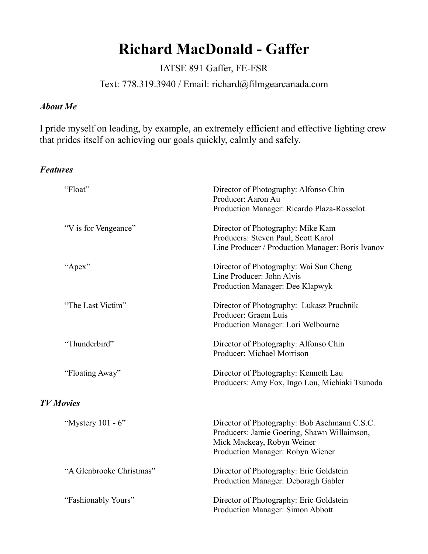# **Richard MacDonald - Gaffer**

IATSE 891 Gaffer, FE-FSR

Text: 778.319.3940 / Email: richard@filmgearcanada.com

#### *About Me*

I pride myself on leading, by example, an extremely efficient and effective lighting crew that prides itself on achieving our goals quickly, calmly and safely.

#### *Features*

| "Float"                  | Director of Photography: Alfonso Chin<br>Producer: Aaron Au<br>Production Manager: Ricardo Plaza-Rosselot                                                     |
|--------------------------|---------------------------------------------------------------------------------------------------------------------------------------------------------------|
| "V is for Vengeance"     | Director of Photography: Mike Kam<br>Producers: Steven Paul, Scott Karol<br>Line Producer / Production Manager: Boris Ivanov                                  |
| "Apex"                   | Director of Photography: Wai Sun Cheng<br>Line Producer: John Alvis<br>Production Manager: Dee Klapwyk                                                        |
| "The Last Victim"        | Director of Photography: Lukasz Pruchnik<br>Producer: Graem Luis<br>Production Manager: Lori Welbourne                                                        |
| "Thunderbird"            | Director of Photography: Alfonso Chin<br>Producer: Michael Morrison                                                                                           |
| "Floating Away"          | Director of Photography: Kenneth Lau<br>Producers: Amy Fox, Ingo Lou, Michiaki Tsunoda                                                                        |
| <b>TV</b> Movies         |                                                                                                                                                               |
| "Mystery 101 - 6"        | Director of Photography: Bob Aschmann C.S.C.<br>Producers: Jamie Goering, Shawn Willaimson,<br>Mick Mackeay, Robyn Weiner<br>Production Manager: Robyn Wiener |
| "A Glenbrooke Christmas" | Director of Photography: Eric Goldstein<br>Production Manager: Deboragh Gabler                                                                                |
| "Fashionably Yours"      | Director of Photography: Eric Goldstein<br>Production Manager: Simon Abbott                                                                                   |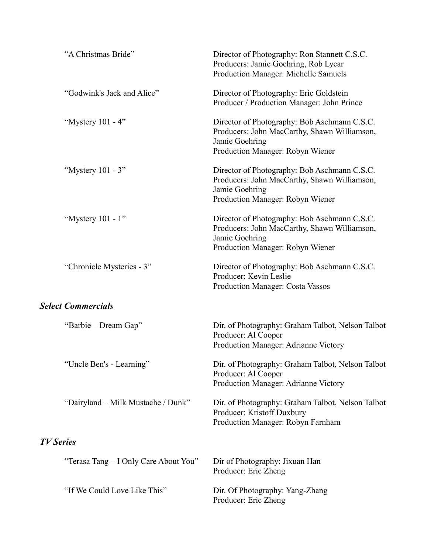| "A Christmas Bride"                   | Director of Photography: Ron Stannett C.S.C.<br>Producers: Jamie Goehring, Rob Lycar<br>Production Manager: Michelle Samuels                       |
|---------------------------------------|----------------------------------------------------------------------------------------------------------------------------------------------------|
| "Godwink's Jack and Alice"            | Director of Photography: Eric Goldstein<br>Producer / Production Manager: John Prince                                                              |
| "Mystery 101 - 4"                     | Director of Photography: Bob Aschmann C.S.C.<br>Producers: John MacCarthy, Shawn Williamson,<br>Jamie Goehring<br>Production Manager: Robyn Wiener |
| "Mystery 101 - 3"                     | Director of Photography: Bob Aschmann C.S.C.<br>Producers: John MacCarthy, Shawn Williamson,<br>Jamie Goehring<br>Production Manager: Robyn Wiener |
| "Mystery 101 - 1"                     | Director of Photography: Bob Aschmann C.S.C.<br>Producers: John MacCarthy, Shawn Williamson,<br>Jamie Goehring<br>Production Manager: Robyn Wiener |
| "Chronicle Mysteries - 3"             | Director of Photography: Bob Aschmann C.S.C.<br>Producer: Kevin Leslie<br>Production Manager: Costa Vassos                                         |
| <b>Select Commercials</b>             |                                                                                                                                                    |
| "Barbie – Dream Gap"                  | Dir. of Photography: Graham Talbot, Nelson Talbot<br>Producer: Al Cooper<br>Production Manager: Adrianne Victory                                   |
| "Uncle Ben's - Learning"              | Dir. of Photography: Graham Talbot, Nelson Talbot<br>Producer: Al Cooper<br>Production Manager: Adrianne Victory                                   |
| "Dairyland - Milk Mustache / Dunk"    | Dir. of Photography: Graham Talbot, Nelson Talbot<br>Producer: Kristoff Duxbury<br>Production Manager: Robyn Farnham                               |
| <b>TV Series</b>                      |                                                                                                                                                    |
| "Terasa Tang - I Only Care About You" | Dir of Photography: Jixuan Han<br>Producer: Eric Zheng                                                                                             |
| "If We Could Love Like This"          | Dir. Of Photography: Yang-Zhang<br>Producer: Eric Zheng                                                                                            |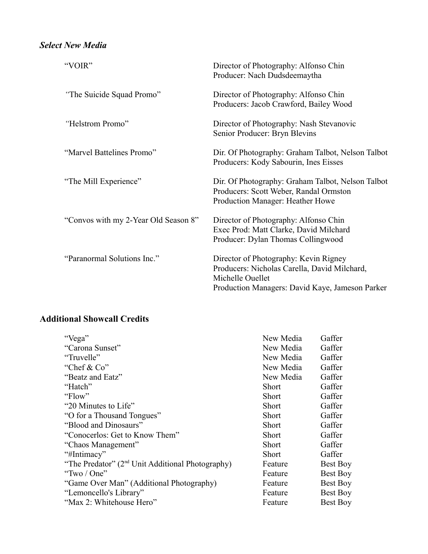## *Select New Media*

| "VOIR"                               | Director of Photography: Alfonso Chin<br>Producer: Nach Dudsdeemaytha                                                                                        |
|--------------------------------------|--------------------------------------------------------------------------------------------------------------------------------------------------------------|
| "The Suicide Squad Promo"            | Director of Photography: Alfonso Chin<br>Producers: Jacob Crawford, Bailey Wood                                                                              |
| "Helstrom Promo"                     | Director of Photography: Nash Stevanovic<br>Senior Producer: Bryn Blevins                                                                                    |
| "Marvel Battelines Promo"            | Dir. Of Photography: Graham Talbot, Nelson Talbot<br>Producers: Kody Sabourin, Ines Eisses                                                                   |
| "The Mill Experience"                | Dir. Of Photography: Graham Talbot, Nelson Talbot<br>Producers: Scott Weber, Randal Ormston<br>Production Manager: Heather Howe                              |
| "Convos with my 2-Year Old Season 8" | Director of Photography: Alfonso Chin<br>Exec Prod: Matt Clarke, David Milchard<br>Producer: Dylan Thomas Collingwood                                        |
| "Paranormal Solutions Inc."          | Director of Photography: Kevin Rigney<br>Producers: Nicholas Carella, David Milchard,<br>Michelle Ouellet<br>Production Managers: David Kaye, Jameson Parker |

### **Additional Showcall Credits**

| "Vega"                                                       | New Media | Gaffer          |
|--------------------------------------------------------------|-----------|-----------------|
| "Carona Sunset"                                              | New Media | Gaffer          |
| "Truvelle"                                                   | New Media | Gaffer          |
| "Chef & $Co$ "                                               | New Media | Gaffer          |
| "Beatz and Eatz"                                             | New Media | Gaffer          |
| "Hatch"                                                      | Short     | Gaffer          |
| "Flow"                                                       | Short     | Gaffer          |
| "20 Minutes to Life"                                         | Short     | Gaffer          |
| "O for a Thousand Tongues"                                   | Short     | Gaffer          |
| "Blood and Dinosaurs"                                        | Short     | Gaffer          |
| "Conocerlos: Get to Know Them"                               | Short     | Gaffer          |
| "Chaos Management"                                           | Short     | Gaffer          |
| "#Intimacy"                                                  | Short     | Gaffer          |
| "The Predator" (2 <sup>nd</sup> Unit Additional Photography) | Feature   | <b>Best Boy</b> |
| "Two / One"                                                  | Feature   | <b>Best Boy</b> |
| "Game Over Man" (Additional Photography)                     | Feature   | <b>Best Boy</b> |
| "Lemoncello's Library"                                       | Feature   | <b>Best Boy</b> |
| "Max 2: Whitehouse Hero"                                     | Feature   | <b>Best Boy</b> |